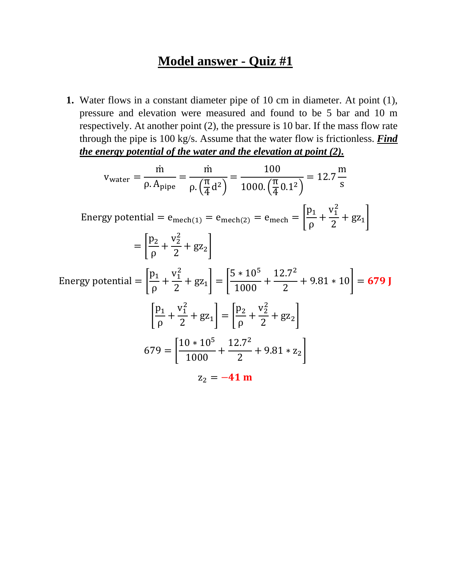## **Model answer - Quiz #1**

**1.** Water flows in a constant diameter pipe of 10 cm in diameter. At point (1), pressure and elevation were measured and found to be 5 bar and 10 m respectively. At another point (2), the pressure is 10 bar. If the mass flow rate through the pipe is 100 kg/s. Assume that the water flow is frictionless. *Find the energy potential of the water and the elevation at point (2).* 

$$
v_{\text{water}} = \frac{\dot{m}}{\rho. A_{\text{pipe}}} = \frac{\dot{m}}{\rho. (\frac{\pi}{4} d^2)} = \frac{100}{1000. (\frac{\pi}{4} 0.1^2)} = 12.7 \frac{m}{s}
$$
  
\nEnergy potential =  $e_{\text{mech}(1)} = e_{\text{mech}(2)} = e_{\text{mech}} = \left[\frac{p_1}{\rho} + \frac{v_1^2}{2} + gz_1\right]$   
\n
$$
= \left[\frac{p_2}{\rho} + \frac{v_2^2}{2} + gz_2\right]
$$
  
\nEnergy potential =  $\left[\frac{p_1}{\rho} + \frac{v_1^2}{2} + gz_1\right] = \left[\frac{5 * 10^5}{1000} + \frac{12.7^2}{2} + 9.81 * 10\right] = 679 \text{ J}$   
\n
$$
\left[\frac{p_1}{\rho} + \frac{v_1^2}{2} + gz_1\right] = \left[\frac{p_2}{\rho} + \frac{v_2^2}{2} + gz_2\right]
$$
  
\n
$$
679 = \left[\frac{10 * 10^5}{1000} + \frac{12.7^2}{2} + 9.81 * z_2\right]
$$
  
\n
$$
z_2 = -41 \text{ m}
$$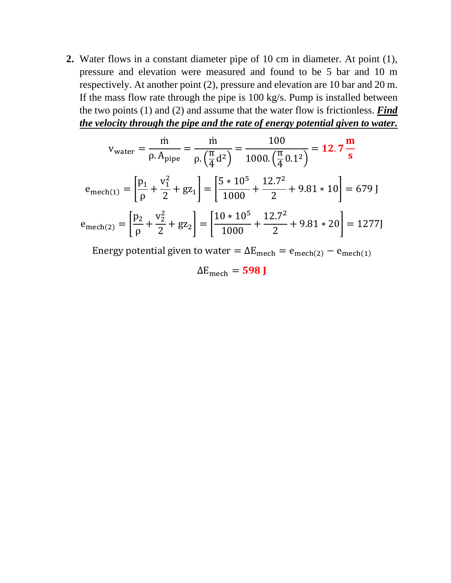**2.** Water flows in a constant diameter pipe of 10 cm in diameter. At point (1), pressure and elevation were measured and found to be 5 bar and 10 m respectively. At another point (2), pressure and elevation are 10 bar and 20 m. If the mass flow rate through the pipe is 100 kg/s. Pump is installed between the two points (1) and (2) and assume that the water flow is frictionless. *Find the velocity through the pipe and the rate of energy potential given to water.* 

$$
v_{\text{water}} = \frac{\dot{m}}{\rho. A_{\text{pipe}}} = \frac{\dot{m}}{\rho. \left(\frac{\pi}{4} d^2\right)} = \frac{100}{1000. \left(\frac{\pi}{4} 0.1^2\right)} = 12.7 \frac{\text{m}}{\text{s}}
$$

$$
e_{\text{mech}(1)} = \left[\frac{p_1}{\rho} + \frac{v_1^2}{2} + gz_1\right] = \left[\frac{5 \times 10^5}{1000} + \frac{12.7^2}{2} + 9.81 \times 10\right] = 679 \text{ J}
$$

$$
e_{\text{mech}(2)} = \left[\frac{p_2}{\rho} + \frac{v_2^2}{2} + gz_2\right] = \left[\frac{10 \times 10^5}{1000} + \frac{12.7^2}{2} + 9.81 \times 20\right] = 1277 \text{ J}
$$

Energy potential given to water =  $\Delta E_{\text{mech}}$  =  $e_{\text{mech}(2)} - e_{\text{mech}(1)}$ 

 $\Delta E_{\text{mech}} = 598$  J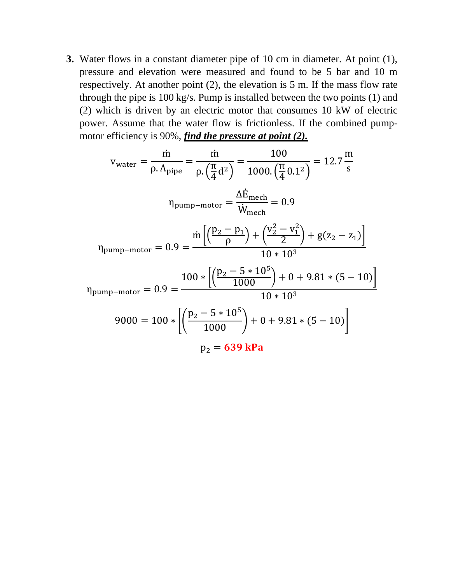**3.** Water flows in a constant diameter pipe of 10 cm in diameter. At point (1), pressure and elevation were measured and found to be 5 bar and 10 m respectively. At another point (2), the elevation is 5 m. If the mass flow rate through the pipe is 100 kg/s. Pump is installed between the two points (1) and (2) which is driven by an electric motor that consumes 10 kW of electric power. Assume that the water flow is frictionless. If the combined pumpmotor efficiency is 90%, *find the pressure at point (2).* 

$$
v_{\text{water}} = \frac{\dot{m}}{\rho. A_{\text{pipe}}} = \frac{\dot{m}}{\rho. (\frac{\pi}{4} d^2)} = \frac{100}{1000. (\frac{\pi}{4} 0.1^2)} = 12.7 \frac{\text{m}}{\text{s}}
$$
  
\n
$$
\eta_{\text{pump-motor}} = \frac{\Delta \dot{E}_{\text{mech}}}{\dot{W}_{\text{mech}}} = 0.9
$$
  
\n
$$
\eta_{\text{pump-motor}} = 0.9 = \frac{\dot{m} \left[ \left( \frac{p_2 - p_1}{\rho} \right) + \left( \frac{v_2^2 - v_1^2}{2} \right) + g(z_2 - z_1) \right]}{10 \times 10^3}
$$
  
\n
$$
\eta_{\text{pump-motor}} = 0.9 = \frac{100 \times \left[ \left( \frac{p_2 - 5 \times 10^5}{1000} \right) + 0 + 9.81 \times (5 - 10) \right]}{10 \times 10^3}
$$
  
\n
$$
9000 = 100 \times \left[ \left( \frac{p_2 - 5 \times 10^5}{1000} \right) + 0 + 9.81 \times (5 - 10) \right]
$$
  
\n
$$
p_2 = 639 \text{ kPa}
$$